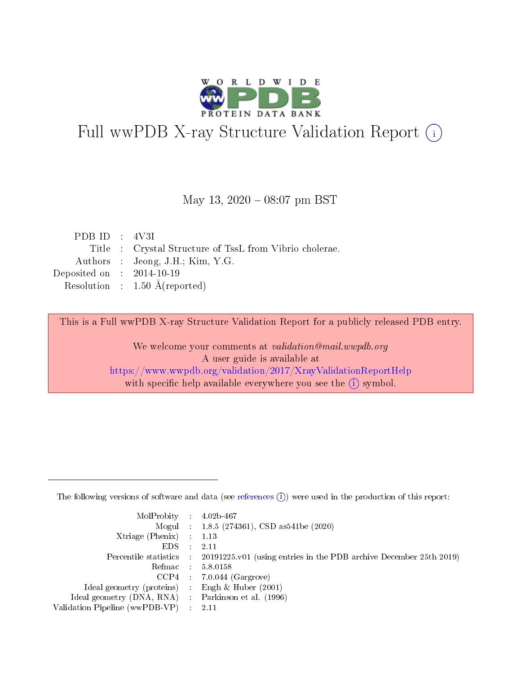

# Full wwPDB X-ray Structure Validation Report (i)

### May 13,  $2020 - 08:07$  pm BST

|  | Title : Crystal Structure of TssL from Vibrio cholerae. |
|--|---------------------------------------------------------|
|  | Authors : Jeong, J.H.; Kim, Y.G.                        |
|  | Deposited on $\therefore$ 2014-10-19                    |
|  | Resolution : $1.50 \text{ Å}$ (reported)                |
|  | PDB ID : $4V3I$                                         |

This is a Full wwPDB X-ray Structure Validation Report for a publicly released PDB entry.

We welcome your comments at validation@mail.wwpdb.org A user guide is available at <https://www.wwpdb.org/validation/2017/XrayValidationReportHelp> with specific help available everywhere you see the  $(i)$  symbol.

The following versions of software and data (see [references](https://www.wwpdb.org/validation/2017/XrayValidationReportHelp#references)  $(1)$ ) were used in the production of this report:

| $MolProbability$ : 4.02b-467                        |                                                                                            |
|-----------------------------------------------------|--------------------------------------------------------------------------------------------|
|                                                     | Mogul : $1.8.5$ (274361), CSD as 541be (2020)                                              |
| Xtriage (Phenix) $: 1.13$                           |                                                                                            |
| EDS                                                 | -2.11                                                                                      |
|                                                     | Percentile statistics : 20191225.v01 (using entries in the PDB archive December 25th 2019) |
| Refmac 58.0158                                      |                                                                                            |
|                                                     | $CCP4$ 7.0.044 (Gargrove)                                                                  |
| Ideal geometry (proteins) : Engh $\&$ Huber (2001)  |                                                                                            |
| Ideal geometry (DNA, RNA) : Parkinson et al. (1996) |                                                                                            |
| Validation Pipeline (wwPDB-VP) : 2.11               |                                                                                            |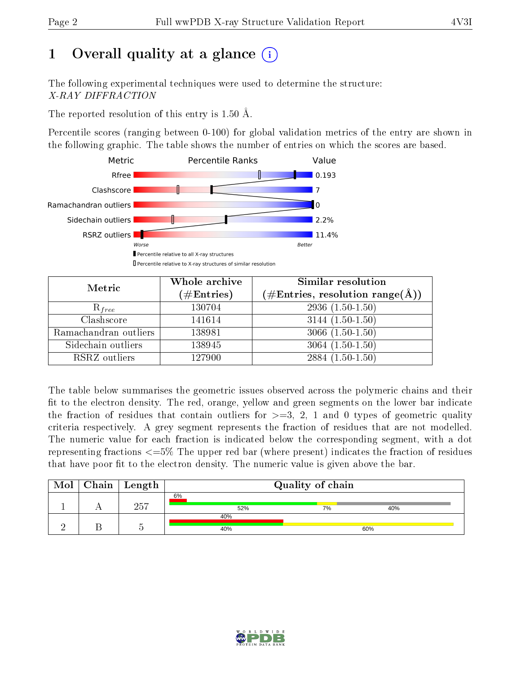# 1 [O](https://www.wwpdb.org/validation/2017/XrayValidationReportHelp#overall_quality)verall quality at a glance  $(i)$

The following experimental techniques were used to determine the structure: X-RAY DIFFRACTION

The reported resolution of this entry is 1.50 Å.

Percentile scores (ranging between 0-100) for global validation metrics of the entry are shown in the following graphic. The table shows the number of entries on which the scores are based.



| Metric                | Whole archive<br>$(\#\text{Entries})$ | <b>Similar resolution</b><br>$(\#\text{Entries}, \text{resolution range}(\text{\AA}))$ |
|-----------------------|---------------------------------------|----------------------------------------------------------------------------------------|
| $R_{free}$            | 130704                                | $2936(1.50-1.50)$                                                                      |
| Clashscore            | 141614                                | $3144(1.50-1.50)$                                                                      |
| Ramachandran outliers | 138981                                | $3066(1.50-1.50)$                                                                      |
| Sidechain outliers    | 138945                                | $3064(1.50-1.50)$                                                                      |
| RSRZ outliers         | 127900                                | $2884(1.50-1.50)$                                                                      |

The table below summarises the geometric issues observed across the polymeric chains and their fit to the electron density. The red, orange, yellow and green segments on the lower bar indicate the fraction of residues that contain outliers for  $>=3, 2, 1$  and 0 types of geometric quality criteria respectively. A grey segment represents the fraction of residues that are not modelled. The numeric value for each fraction is indicated below the corresponding segment, with a dot representing fractions  $\epsilon=5\%$  The upper red bar (where present) indicates the fraction of residues that have poor fit to the electron density. The numeric value is given above the bar.

| Mol | $\vert$ Chain $\vert$ Length | Quality of chain |    |     |  |  |
|-----|------------------------------|------------------|----|-----|--|--|
|     | 257                          | 6%<br>52%        | 7% | 40% |  |  |
|     |                              | 40%<br>40%       |    | 60% |  |  |
|     |                              |                  |    |     |  |  |

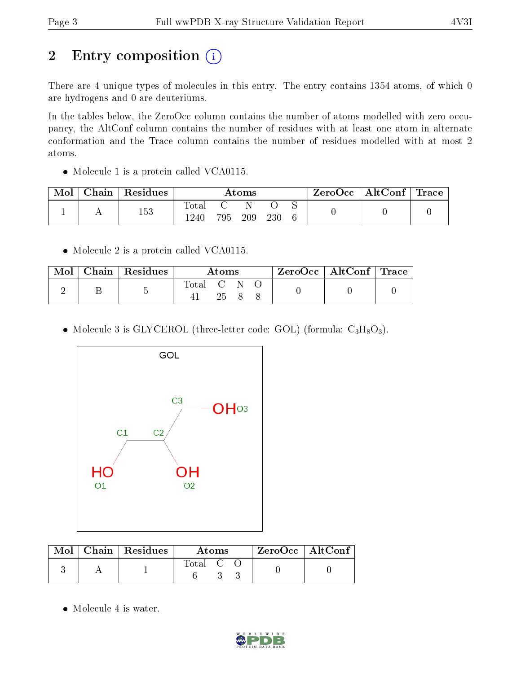# 2 Entry composition (i)

There are 4 unique types of molecules in this entry. The entry contains 1354 atoms, of which 0 are hydrogens and 0 are deuteriums.

In the tables below, the ZeroOcc column contains the number of atoms modelled with zero occupancy, the AltConf column contains the number of residues with at least one atom in alternate conformation and the Trace column contains the number of residues modelled with at most 2 atoms.

• Molecule 1 is a protein called VCA0115.

| Mol | ${\bf Chain \mid Residues}$ | $\rm\bf Atoms$ |     |     | $\text{ZeroOcc}$   AltConf   Trace |  |  |  |
|-----|-----------------------------|----------------|-----|-----|------------------------------------|--|--|--|
|     | 153                         | 'otal<br>1240  | 795 | 209 | 230                                |  |  |  |

• Molecule 2 is a protein called VCA0115.

| Mol | Chain   Residues | Atoms     |     | $\text{ZeroOcc} \mid \text{AltConf} \mid \text{Trace}$ |  |  |
|-----|------------------|-----------|-----|--------------------------------------------------------|--|--|
|     |                  | Total C N | 25. |                                                        |  |  |

• Molecule 3 is GLYCEROL (three-letter code: GOL) (formula:  $C_3H_8O_3$ ).



|  | $Mol$   Chain   Residues | Atoms.    |  | ZeroOcc   AltConf |  |  |
|--|--------------------------|-----------|--|-------------------|--|--|
|  |                          | Total C O |  |                   |  |  |

• Molecule 4 is water.

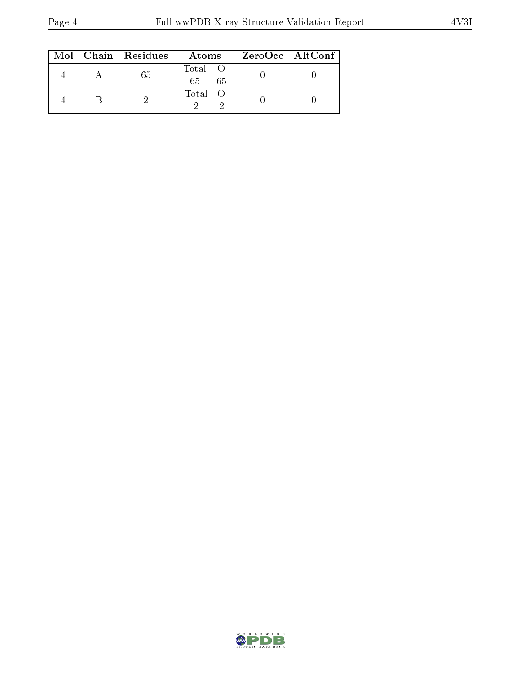|  | $Mol$   Chain   Residues | Atoms                | ZeroOcc   AltConf |
|--|--------------------------|----------------------|-------------------|
|  | 65                       | Total O<br>65<br>-65 |                   |
|  |                          | Total O              |                   |

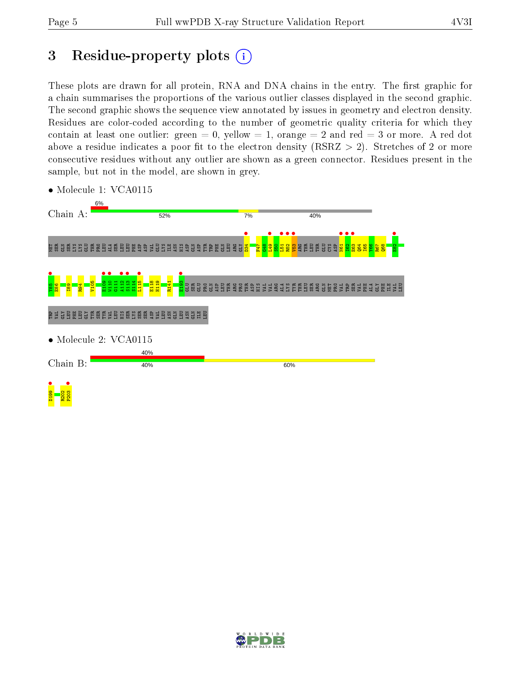# 3 Residue-property plots  $(i)$

These plots are drawn for all protein, RNA and DNA chains in the entry. The first graphic for a chain summarises the proportions of the various outlier classes displayed in the second graphic. The second graphic shows the sequence view annotated by issues in geometry and electron density. Residues are color-coded according to the number of geometric quality criteria for which they contain at least one outlier: green  $= 0$ , yellow  $= 1$ , orange  $= 2$  and red  $= 3$  or more. A red dot above a residue indicates a poor fit to the electron density (RSRZ  $> 2$ ). Stretches of 2 or more consecutive residues without any outlier are shown as a green connector. Residues present in the sample, but not in the model, are shown in grey.



• Molecule 1: VCA0115

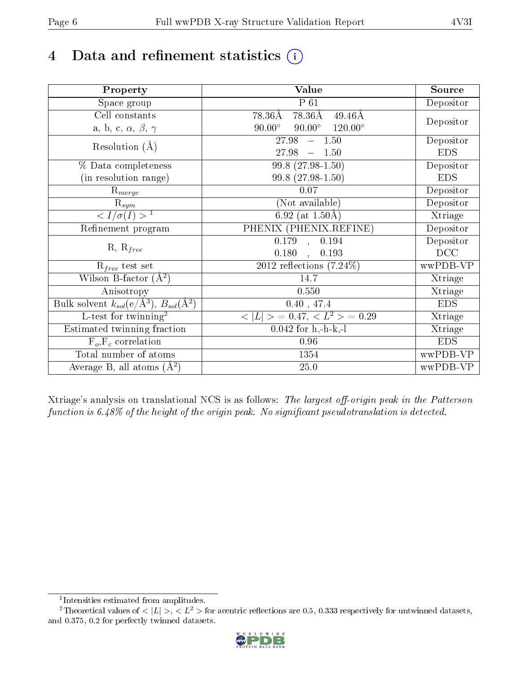# 4 Data and refinement statistics  $(i)$

| Property                                                             | Value                                            | Source     |
|----------------------------------------------------------------------|--------------------------------------------------|------------|
| Space group                                                          | $P_61$                                           | Depositor  |
| Cell constants                                                       | 78.36Å<br>78.36Å<br>$49.46\text{\AA}$            |            |
| a, b, c, $\alpha$ , $\beta$ , $\gamma$                               | $90.00^\circ$<br>$90.00^\circ$<br>$120.00^\circ$ | Depositor  |
| Resolution $(A)$                                                     | $-1.50$<br>27.98                                 | Depositor  |
|                                                                      | 27.98<br>$-1.50$                                 | <b>EDS</b> |
| % Data completeness                                                  | 99.8 (27.98-1.50)                                | Depositor  |
| (in resolution range)                                                | 99.8 (27.98-1.50)                                | <b>EDS</b> |
| $R_{merge}$                                                          | 0.07                                             | Depositor  |
| $\mathrm{R}_{sym}$                                                   | (Not available)                                  | Depositor  |
| $\sqrt{I/\sigma}(I) > 1$                                             | $\overline{6.92}$ (at 1.50Å)                     | Xtriage    |
| Refinement program                                                   | PHENIX (PHENIX.REFINE)                           | Depositor  |
|                                                                      | 0.194<br>$\overline{0.179}$ ,                    | Depositor  |
| $R, R_{free}$                                                        | 0.180<br>0.193<br>$\mathbf{A}$                   | DCC        |
| $R_{free}$ test set                                                  | 2012 reflections $(7.24\%)$                      | wwPDB-VP   |
| Wilson B-factor $(A^2)$                                              | 14.7                                             | Xtriage    |
| Anisotropy                                                           | 0.550                                            | Xtriage    |
| Bulk solvent $k_{sol}(e/\mathring{A}^3)$ , $B_{sol}(\mathring{A}^2)$ | 0.40, 47.4                                       | <b>EDS</b> |
| $\overline{L-test for}$ twinning <sup>2</sup>                        | $< L >$ = 0.47, $< L2 >$ = 0.29                  | Xtriage    |
| Estimated twinning fraction                                          | $0.042$ for h,-h-k,-l                            | Xtriage    |
| $F_o, F_c$ correlation                                               | 0.96                                             | <b>EDS</b> |
| Total number of atoms                                                | 1354                                             | wwPDB-VP   |
| Average B, all atoms $(A^2)$                                         | $25.0\,$                                         | wwPDB-VP   |

Xtriage's analysis on translational NCS is as follows: The largest off-origin peak in the Patterson function is  $6.48\%$  of the height of the origin peak. No significant pseudotranslation is detected.

<sup>&</sup>lt;sup>2</sup>Theoretical values of  $\langle |L| \rangle$ ,  $\langle L^2 \rangle$  for acentric reflections are 0.5, 0.333 respectively for untwinned datasets, and 0.375, 0.2 for perfectly twinned datasets.



<span id="page-5-1"></span><span id="page-5-0"></span><sup>1</sup> Intensities estimated from amplitudes.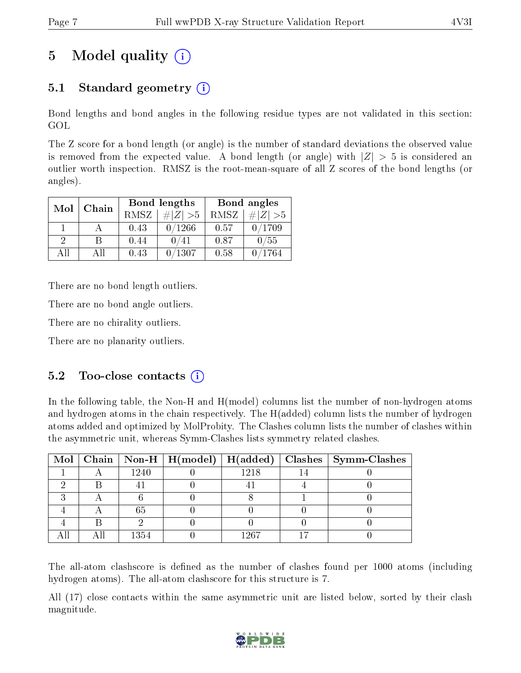# 5 Model quality  $(i)$

# 5.1 Standard geometry  $(i)$

Bond lengths and bond angles in the following residue types are not validated in this section: GOL

The Z score for a bond length (or angle) is the number of standard deviations the observed value is removed from the expected value. A bond length (or angle) with  $|Z| > 5$  is considered an outlier worth inspection. RMSZ is the root-mean-square of all Z scores of the bond lengths (or angles).

| Mol      | Chain |      | <b>Bond lengths</b> | Bond angles |             |  |
|----------|-------|------|---------------------|-------------|-------------|--|
|          |       | RMSZ | $\# Z  > 5$         | RMSZ        | $\ Z\  > 5$ |  |
|          |       | 0.43 | 0/1266              | 0.57        | 0/1709      |  |
| $\Omega$ | R     | 0.44 | ′41                 | 0.87        | 0/55        |  |
| ΔĦ       | АH    | 0.43 | ′1307               | 0.58        | ′1764       |  |

There are no bond length outliers.

There are no bond angle outliers.

There are no chirality outliers.

There are no planarity outliers.

### $5.2$  Too-close contacts  $(i)$

In the following table, the Non-H and H(model) columns list the number of non-hydrogen atoms and hydrogen atoms in the chain respectively. The H(added) column lists the number of hydrogen atoms added and optimized by MolProbity. The Clashes column lists the number of clashes within the asymmetric unit, whereas Symm-Clashes lists symmetry related clashes.

|  |      |       | Mol   Chain   Non-H   H(model)   H(added)   Clashes   Symm-Clashes |
|--|------|-------|--------------------------------------------------------------------|
|  | 1240 | 1218  |                                                                    |
|  |      |       |                                                                    |
|  |      |       |                                                                    |
|  | 65   |       |                                                                    |
|  |      |       |                                                                    |
|  | 1354 | L 267 |                                                                    |

The all-atom clashscore is defined as the number of clashes found per 1000 atoms (including hydrogen atoms). The all-atom clashscore for this structure is 7.

All (17) close contacts within the same asymmetric unit are listed below, sorted by their clash magnitude.

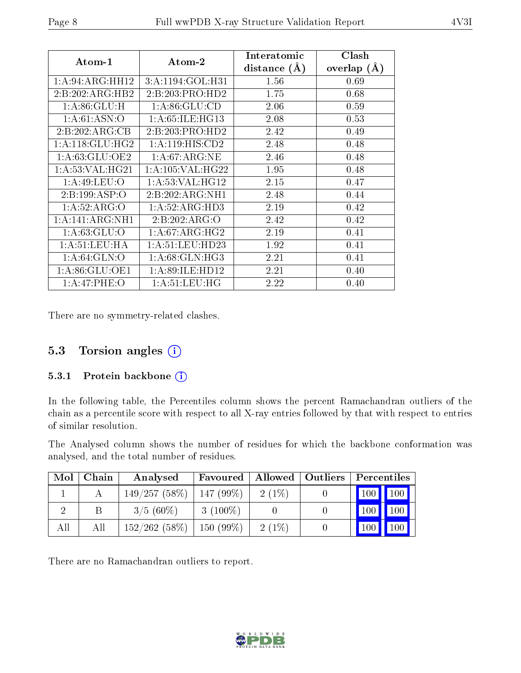| $Atom-1$           | $\boldsymbol{\mathrm{Atom}\text{-}2}$ | Interatomic    | Clash          |
|--------------------|---------------------------------------|----------------|----------------|
|                    |                                       | distance $(A)$ | overlap<br>(A) |
| 1:A:94:ARG:HH12    | 3:A:1194:GOL:H31                      | 1.56           | 0.69           |
| 2:B:202:ARG:HB2    | 2:B:203:PRO:HD2                       | 1.75           | 0.68           |
| 1: A:86: GLU:H     | 1: A:86: GLU:CD                       | 2.06           | 0.59           |
| 1: A:61: ASN:O     | 1: A:65: ILE: HG13                    | 2.08           | 0.53           |
| 2:B:202:ARG:CB     | 2:B:203:PRO:HD2                       | 2.42           | 0.49           |
| 1: A:118: GLU: HG2 | 1: A:119: HIS: CD2                    | 2.48           | 0.48           |
| 1: A:63: GLU:OE2   | 1:A:67:ARG:NE                         | 2.46           | 0.48           |
| 1: A:53: VAL: HG21 | 1: A:105: VAL:HG22                    | 1.95           | 0.48           |
| 1: A:49: LEU:O     | 1: A:53: VAL:HG12                     | 2.15           | 0.47           |
| 2:B:199:ASP:O      | 2:B:202:ARG:NH1                       | 2.48           | 0.44           |
| 1:A:52:ARG:O       | 1:A:52:ARG:HD3                        | 2.19           | 0.42           |
| 1:A:141:ARG:NH1    | 2:B:202:ARG:O                         | 2.42           | 0.42           |
| 1: A:63: GLU:O     | 1: A:67: ARG: HG2                     | 2.19           | 0.41           |
| 1:A:51:LEU:HA      | 1:A:51:LEU:HD23                       | 1.92           | 0.41           |
| 1: A:64: GLN:O     | 1: A:68: GLN: HG3                     | 2.21           | 0.41           |
| 1: A:86: GLU:OE1   | 1: A:89: ILE: HD12                    | 2.21           | 0.40           |
| 1: A:47:PHE:O      | 1: A:51:LEU:HG                        | 2.22           | 0.40           |

There are no symmetry-related clashes.

## 5.3 Torsion angles  $(i)$

#### 5.3.1 Protein backbone (i)

In the following table, the Percentiles column shows the percent Ramachandran outliers of the chain as a percentile score with respect to all X-ray entries followed by that with respect to entries of similar resolution.

The Analysed column shows the number of residues for which the backbone conformation was analysed, and the total number of residues.

| Mol | Chain | Analysed     | Favoured    |          | Allowed   Outliers | Percentiles   |               |
|-----|-------|--------------|-------------|----------|--------------------|---------------|---------------|
|     |       | 149/257(58%) | $147(99\%)$ | $2(1\%)$ |                    | $100$   $100$ |               |
|     | В     | $3/5(60\%)$  | $3(100\%)$  |          |                    |               | $100$   $100$ |
| All | All   | 152/262(58%) | $150(99\%)$ | $2(1\%)$ |                    | 100           | 100           |

There are no Ramachandran outliers to report.

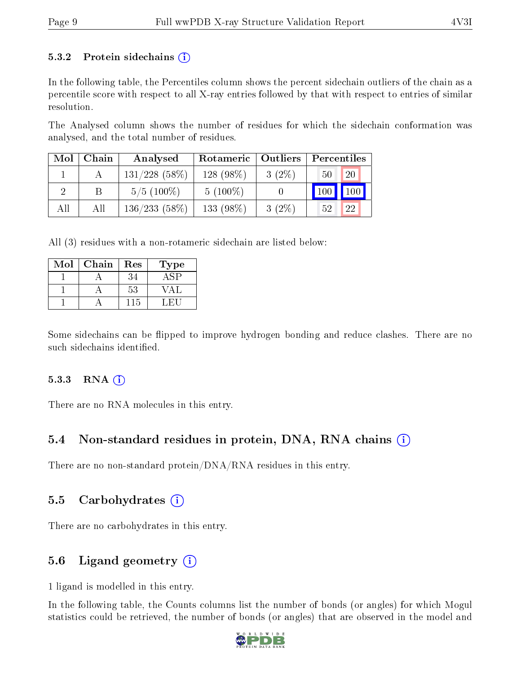#### 5.3.2 Protein sidechains  $(i)$

In the following table, the Percentiles column shows the percent sidechain outliers of the chain as a percentile score with respect to all X-ray entries followed by that with respect to entries of similar resolution.

The Analysed column shows the number of residues for which the sidechain conformation was analysed, and the total number of residues.

| Mol | Chain | Analysed        | Rotameric   Outliers |          | Percentiles         |     |
|-----|-------|-----------------|----------------------|----------|---------------------|-----|
|     |       | $131/228$ (58%) | $128(98\%)$          | $3(2\%)$ | 50                  | 20  |
|     |       | $5/5(100\%)$    | $5(100\%)$           |          | $\vert$ 100 $\vert$ | 100 |
| All | All   | $136/233(58\%)$ | 133 (98%)            | $3(2\%)$ | 52                  | 22  |

All (3) residues with a non-rotameric sidechain are listed below:

| Mol | Chain | Res | Type       |
|-----|-------|-----|------------|
|     |       | 34  | ASP        |
|     |       | 53  | $/ \Delta$ |
|     |       | 115 | ∴H`I       |

Some sidechains can be flipped to improve hydrogen bonding and reduce clashes. There are no such sidechains identified.

#### $5.3.3$  RNA  $(i)$

There are no RNA molecules in this entry.

### 5.4 Non-standard residues in protein, DNA, RNA chains (i)

There are no non-standard protein/DNA/RNA residues in this entry.

#### 5.5 Carbohydrates  $(i)$

There are no carbohydrates in this entry.

### 5.6 Ligand geometry  $(i)$

1 ligand is modelled in this entry.

In the following table, the Counts columns list the number of bonds (or angles) for which Mogul statistics could be retrieved, the number of bonds (or angles) that are observed in the model and

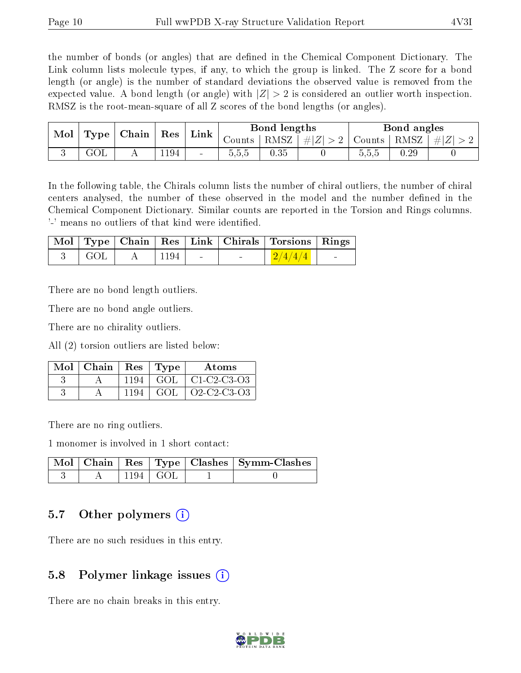the number of bonds (or angles) that are defined in the Chemical Component Dictionary. The Link column lists molecule types, if any, to which the group is linked. The Z score for a bond length (or angle) is the number of standard deviations the observed value is removed from the expected value. A bond length (or angle) with  $|Z| > 2$  is considered an outlier worth inspection. RMSZ is the root-mean-square of all Z scores of the bond lengths (or angles).

| Mol | Chain<br>Type |  | Res |                 |        | Bond lengths |         |        | Bond angles |           |
|-----|---------------|--|-----|-----------------|--------|--------------|---------|--------|-------------|-----------|
|     |               |  |     | Link            | Counts | RMSZ         | $\# Z $ | Counts | RMSZ        | $\pm  Z $ |
|     | ∖J∪L.         |  | 194 | $\qquad \qquad$ | G.C.C  | $0.35\,$     |         | 0.5.5  | 0.29        |           |

In the following table, the Chirals column lists the number of chiral outliers, the number of chiral centers analysed, the number of these observed in the model and the number defined in the Chemical Component Dictionary. Similar counts are reported in the Torsion and Rings columns. '-' means no outliers of that kind were identified.

|                                                       |                    |  |                          | Mol   Type   Chain   Res   Link   Chirals   Torsions   Rings |                          |
|-------------------------------------------------------|--------------------|--|--------------------------|--------------------------------------------------------------|--------------------------|
| $\overline{\phantom{a}}$ GOL $\overline{\phantom{a}}$ | $A \mid 1194 \mid$ |  | <b>Contract Contract</b> | $\left[\frac{2}{4/4}\right]$                                 | <b>Contract Contract</b> |

There are no bond length outliers.

There are no bond angle outliers.

There are no chirality outliers.

All (2) torsion outliers are listed below:

| Mol∣Chain |      | $Res$   Type | Atoms                                                          |
|-----------|------|--------------|----------------------------------------------------------------|
|           | 1194 | GOL          | $\mid$ C1-C2-C3-O3                                             |
|           | 1194 | GOL.         | O <sub>2</sub> -C <sub>2</sub> -C <sub>3</sub> -O <sub>3</sub> |

There are no ring outliers.

1 monomer is involved in 1 short contact:

|  |            | Mol   Chain   Res   Type   Clashes   Symm-Clashes |
|--|------------|---------------------------------------------------|
|  | 1194   GOL |                                                   |

### 5.7 [O](https://www.wwpdb.org/validation/2017/XrayValidationReportHelp#nonstandard_residues_and_ligands)ther polymers (i)

There are no such residues in this entry.

## 5.8 Polymer linkage issues (i)

There are no chain breaks in this entry.

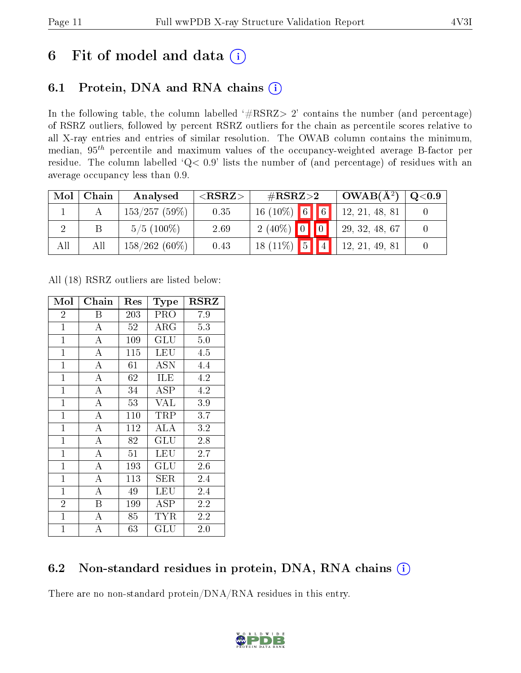# 6 Fit of model and data  $(i)$

# 6.1 Protein, DNA and RNA chains  $(i)$

In the following table, the column labelled  $#RSRZ> 2'$  contains the number (and percentage) of RSRZ outliers, followed by percent RSRZ outliers for the chain as percentile scores relative to all X-ray entries and entries of similar resolution. The OWAB column contains the minimum, median,  $95<sup>th</sup>$  percentile and maximum values of the occupancy-weighted average B-factor per residue. The column labelled ' $Q< 0.9$ ' lists the number of (and percentage) of residues with an average occupancy less than 0.9.

| Mol | Chain | Analysed        | ${ <\hspace{-1.5pt}{\mathrm{RSRZ}} \hspace{-1.5pt}>}$ | $\#\text{RSRZ}{>}2$ |             | $OWAB(A^2)$    | $\rm Q\textcolor{black}{<}0.9$ |
|-----|-------|-----------------|-------------------------------------------------------|---------------------|-------------|----------------|--------------------------------|
|     |       | 153/257(59%)    | 0.35                                                  | $16(10\%)$ 6        | $\boxed{6}$ | 12, 21, 48, 81 |                                |
|     |       | $5/5(100\%)$    | 2.69                                                  | $2(40\%)$ 0 0       |             | 29, 32, 48, 67 |                                |
| All | Αll   | $158/262(60\%)$ | 0.43                                                  | $18(11\%)$ 5        |             | 12, 21, 49, 81 |                                |

All (18) RSRZ outliers are listed below:

| Mol            | Chain              | Res | <b>Type</b>                        | $_{\rm RSRZ}$ |
|----------------|--------------------|-----|------------------------------------|---------------|
| $\overline{2}$ | В                  | 203 | <b>PRO</b>                         | 7.9           |
| $\overline{1}$ | $\boldsymbol{A}$   | 52  | $\rm{ARG}$                         | 5.3           |
| $\mathbf{1}$   | A                  | 109 | GLU                                | 5.0           |
| $\overline{1}$ | A                  | 115 | LEU                                | 4.5           |
| $\mathbf{1}$   | $\overline{\rm A}$ | 61  | $\overline{\mathrm{A}}\mathrm{SN}$ | 4.4           |
| $\overline{1}$ | A                  | 62  | ILE                                | 4.2           |
| $\mathbf{1}$   | A                  | 34  | <b>ASP</b>                         | 4.2           |
| $\mathbf{1}$   | A                  | 53  | <b>VAL</b>                         | 3.9           |
| $\mathbf{1}$   | $\bf{A}$           | 110 | TRP                                | 3.7           |
| $\mathbf{1}$   | $\overline{\rm A}$ | 112 | ALA                                | 3.2           |
| $\mathbf{1}$   | $\bf{A}$           | 82  | GLU                                | 2.8           |
| $\mathbf{1}$   | A                  | 51  | LEU                                | 2.7           |
| $\mathbf{1}$   | A                  | 193 | $\operatorname{GLU}$               | 2.6           |
| $\mathbf{1}$   | A                  | 113 | SER                                | 2.4           |
| $\mathbf{1}$   | A                  | 49  | LEU                                | 2.4           |
| $\overline{2}$ | B                  | 199 | <b>ASP</b>                         | 2.2           |
| $\mathbf{1}$   | А                  | 85  | TYR                                | 2.2           |
| $\mathbf{1}$   | А                  | 63  | $\operatorname{GLU}$               | $2.0\,$       |

# 6.2 Non-standard residues in protein, DNA, RNA chains (i)

There are no non-standard protein/DNA/RNA residues in this entry.